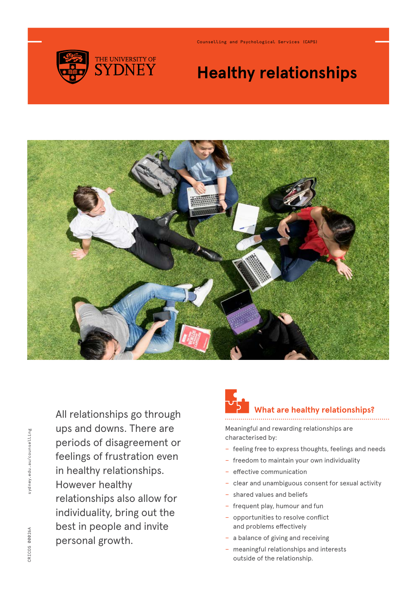

Counselling and Psychological Services (CAPS)

## **Healthy relationships**



All relationships go through ups and downs. There are periods of disagreement or feelings of frustration even in healthy relationships. However healthy relationships also allow for individuality, bring out the best in people and invite personal growth.

### **at are healthy relationships?**

Meaningful and rewarding relationships are characterised by:

- − feeling free to express thoughts, feelings and needs
- − freedom to maintain your own individuality
- − effective communication
- − clear and unambiguous consent for sexual activity
- − shared values and beliefs
- − frequent play, humour and fun
- − opportunities to resolve conflict and problems effectively
- − a balance of giving and receiving
- − meaningful relationships and interests outside of the relationship.